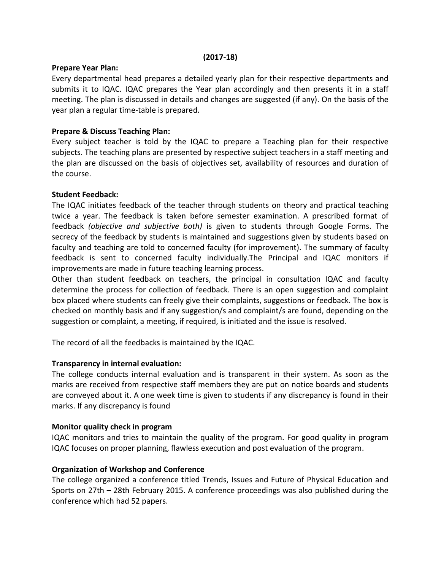#### (2017-18)

#### Prepare Year Plan:

Every departmental head prepares a detailed yearly plan for their respective departments and submits it to IQAC. IQAC prepares the Year plan accordingly and then presents it in a staff meeting. The plan is discussed in details and changes are suggested (if any). On the basis of the year plan a regular time-table is prepared.

## Prepare & Discuss Teaching Plan:

Every subject teacher is told by the IQAC to prepare a Teaching plan for their respective subjects. The teaching plans are presented by respective subject teachers in a staff meeting and the plan are discussed on the basis of objectives set, availability of resources and duration of the course.

### Student Feedback:

The IQAC initiates feedback of the teacher through students on theory and practical teaching twice a year. The feedback is taken before semester examination. A prescribed format of feedback (objective and subjective both) is given to students through Google Forms. The secrecy of the feedback by students is maintained and suggestions given by students based on faculty and teaching are told to concerned faculty (for improvement). The summary of faculty feedback is sent to concerned faculty individually.The Principal and IQAC monitors if improvements are made in future teaching learning process.

Other than student feedback on teachers, the principal in consultation IQAC and faculty determine the process for collection of feedback. There is an open suggestion and complaint box placed where students can freely give their complaints, suggestions or feedback. The box is checked on monthly basis and if any suggestion/s and complaint/s are found, depending on the suggestion or complaint, a meeting, if required, is initiated and the issue is resolved.

The record of all the feedbacks is maintained by the IQAC.

### Transparency in internal evaluation:

The college conducts internal evaluation and is transparent in their system. As soon as the marks are received from respective staff members they are put on notice boards and students are conveyed about it. A one week time is given to students if any discrepancy is found in their marks. If any discrepancy is found

### Monitor quality check in program

IQAC monitors and tries to maintain the quality of the program. For good quality in program IQAC focuses on proper planning, flawless execution and post evaluation of the program.

### Organization of Workshop and Conference

The college organized a conference titled Trends, Issues and Future of Physical Education and Sports on 27th – 28th February 2015. A conference proceedings was also published during the conference which had 52 papers.